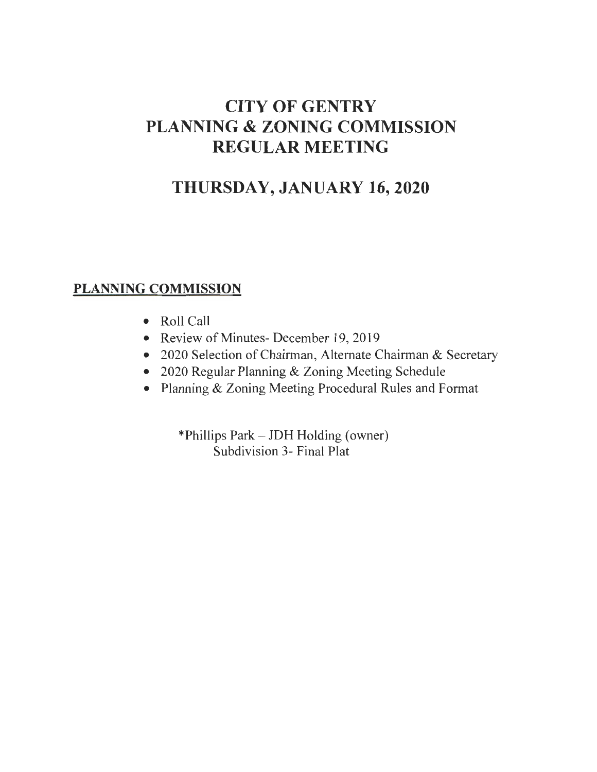# **CITY OF GENTRY PLANNING & ZONING COMMISSION REGULAR MEETING**

# **THURSDAY, JANUARY 16,2020**

## **PLANNING COMMISSION**

- Roll Call
- Review of Minutes- December 19, 2019
- 2020 Selection of Chairman, Alternate Chairman & Secretary
- 2020 Regular Planning & Zoning Meeting Schedule
- Planning & Zoning Meeting Procedural Rules and Format

\*Phillips Park - JDH Holding (owner) Subdivision 3- Final Plat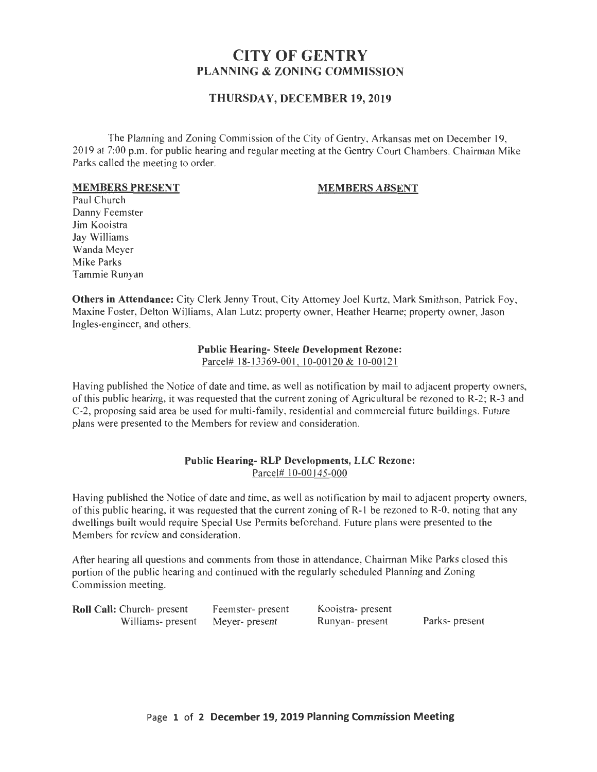### **CITY OF GENTRY PLANNING & ZONING COMMISSION**

#### **THURSDAY, DECEMBER 19, 2019**

The Planning and Zoning Commission of the City of Gentry, Arkansas met on December 19, 2019 at 7:00 p.m. for public hearing and regular meeting at the Gentry Court Chambers. Chairman Mike Parks called the meeting to order.

#### **MEMBERS PRESENT**

#### **MEMBERS ABSENT**

Paul Church Danny Feemster Jim Kooistra Jay Williams Wanda Meyer Mike Parks Tammie Runyan

**Others in Attendance:** City Clerk Jenny Trout, City Attorney Joel Kurtz, Mark Smithson, Patrick Foy, Maxine Foster, Delton Williams, Alan Lutz; property owner, Heather Hearne; property owner, Jason Ingles-engineer, and others.

#### **Public Hearing- Steele Development Rezone:**

Parcel# 18-13369-001, 10-00120 & 10-00121

Having published the Notice of date and time, as well as notification by mail to adjacent property owners, of this public hearing, it was requested that the current zoning of Agricu ltural be rezoned to R-2; R-3 and C-2, proposing said area be used for multi-family, residential and commercial future buildings. Future plans were presented to the Members for review and consideration.

#### **Public Hearing- RLP Developments, LLC Rezone:**  Parcel# 10-00145-000

Having published the Notice of date and time, as well as notification by mail to adjacent property owners, of this public hearing, it was requested that the current zoning of R-1 be rezoned to R-0, noting that any dwellings built would require Special Use Permits beforehand. Future plans were presented to the Members for review and consideration.

After hearing all questions and comments from those in attendance, Chairman Mike Parks closed this portion of the public hearing and continued with the regularly scheduled Planning and Zoning Commission meeting.

| Roll Call: Church- present       | Feemster- present | Kooistra- present |                |
|----------------------------------|-------------------|-------------------|----------------|
| Williams- present Meyer- present |                   | Runyan- present   | Parks- present |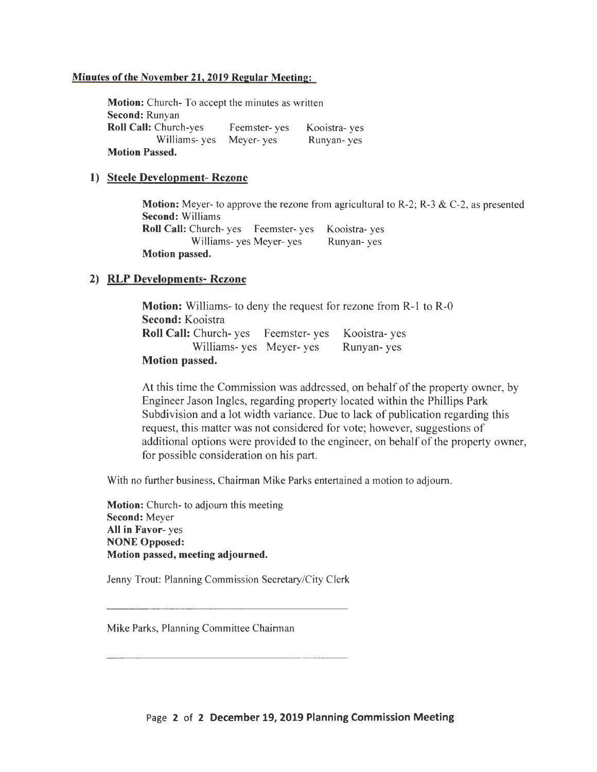#### **Minutes of the November 21,2019 Regular Meeting:**

**Motion:** Church- To accept the minutes as written **Second:** Runyan **Roll Call:** Church-yes Feemster- yes Williams- yes Meyer- yes **Motion Passed.**  Kooistra- yes Runyan- yes

#### **1) Steele Development- Rezone**

**Motion:** Meyer- to approve the rezone from agricultural to R-2; R-3 & C-2, as presented **Second:** Williams **Roll Call:** Church- yes Feemster- yes Kooistra- yes Williams- yes Meyer- yes Runyan- yes **Motion passed.** 

#### **2) RLP Developments- Rezone**

**Motion:** Williams- to deny the request for rezone from R-1 to R-0 **Second:** Kooistra Roll Call: Church- yes Feemster- yes Kooistra- yes Williams- yes Meyer- yes Runyan- yes **Motion passed.** 

At this time the Commission was addressed, on behalf of the property owner, by Engineer Jason Ingles, regarding property located within the Phillips Park Subdivision and a lot width variance. Due to lack of publication regarding this request, this matter was not considered for vote; however, suggestions of additional options were provided to the engineer, on behalf of the property owner, for possible consideration on his part.

With no further business, Chairman Mike Parks entertained a motion to adjourn.

**Motion:** Church- to adjourn this meeting **Second:** Meyer **All in Favor-** yes **NONE Opposed: Motion passed, meeting adjourned.** 

Jenny Trout: Planning Commission Secretary/City Clerk

Mike Parks, Planning Committee Chairman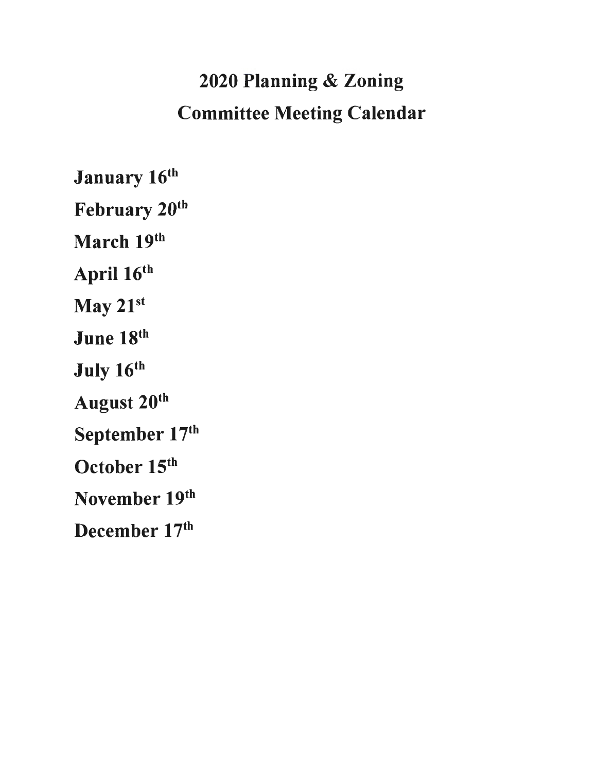# 2020 Planning & Zoning Committee Meeting Calendar

January 16th February 20<sup>th</sup> March 19th April 16<sup>th</sup> May 21st June 18th July 16th August 20th September 17th October 15<sup>th</sup> November 19th December 17th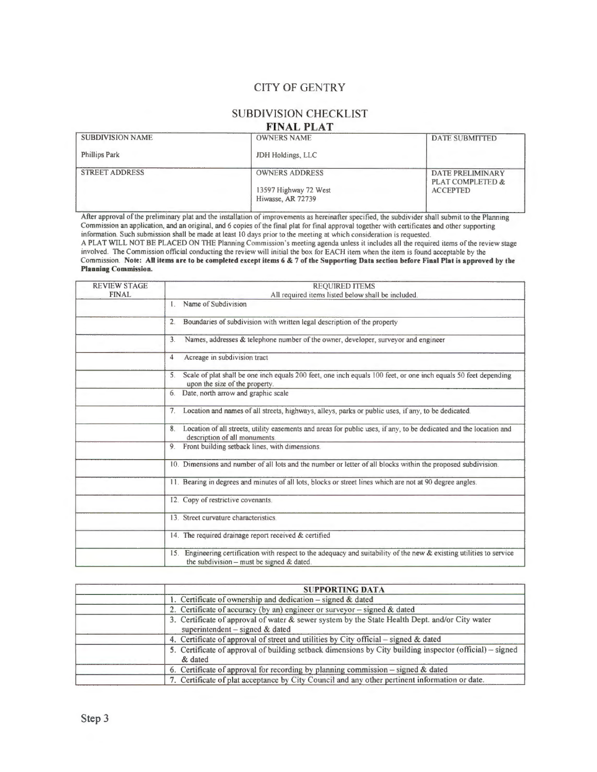#### **CITY OF GENTRY**

## **SUBDIVISION CHECKLIST**

#### **FINAL PLAT**

| <b>SUBDIVISION NAME</b> | <b>OWNERS NAME</b>                         | <b>DATE SUBMITTED</b>                       |
|-------------------------|--------------------------------------------|---------------------------------------------|
| <b>Phillips Park</b>    | JDH Holdings, LLC                          |                                             |
| <b>STREET ADDRESS</b>   | <b>OWNERS ADDRESS</b>                      | <b>DATE PRELIMINARY</b><br>PLAT COMPLETED & |
|                         | 13597 Highway 72 West<br>Hiwasse, AR 72739 | <b>ACCEPTED</b>                             |

After approval of the preliminary plat and the installation of improvements as hereinafter specified, the subdivider shall submit to the Planning Commission an application, and an original, and 6 copies of the final plat for final approval together with certificates and other supporting information. Such submission shall be made at least 10 days prior to the meeting at which consideration is requested.

A PLAT WILL NOT BE PLACED ON THE Planning Commission's meeting agenda unless it includes all the required items of the review stage involved. The Commission official conducting the review will initial the box for EACH item when the item is found acceptable by the Commission. **Note: All items are to be completed except items** 6 & 7 **of the Supporting Data section before Final Plat is approved by the Planning Commission.** 

| <b>REVIEW STAGE</b> | <b>REQUIRED ITEMS</b>                                                                                                                                              |
|---------------------|--------------------------------------------------------------------------------------------------------------------------------------------------------------------|
| <b>FINAL</b>        | All required items listed below shall be included.                                                                                                                 |
|                     | Name of Subdivision<br>$\mathbf{L}$                                                                                                                                |
|                     | Boundaries of subdivision with written legal description of the property<br>2.                                                                                     |
|                     | Names, addresses & telephone number of the owner, developer, surveyor and engineer<br>3.                                                                           |
|                     | Acreage in subdivision tract<br>$\overline{4}$                                                                                                                     |
|                     | Scale of plat shall be one inch equals 200 feet, one inch equals 100 feet, or one inch equals 50 feet depending<br>5.<br>upon the size of the property.            |
|                     | Date, north arrow and graphic scale<br>6.                                                                                                                          |
|                     | Location and names of all streets, highways, alleys, parks or public uses, if any, to be dedicated.<br>7 <sub>1</sub>                                              |
|                     | Location of all streets, utility easements and areas for public uses, if any, to be dedicated and the location and<br>8.<br>description of all monuments.          |
|                     | Front building setback lines, with dimensions.<br>9.                                                                                                               |
|                     | 10. Dimensions and number of all lots and the number or letter of all blocks within the proposed subdivision.                                                      |
|                     | 11. Bearing in degrees and minutes of all lots, blocks or street lines which are not at 90 degree angles.                                                          |
|                     | 12. Copy of restrictive covenants.                                                                                                                                 |
|                     | 13. Street curvature characteristics.                                                                                                                              |
|                     | 14. The required drainage report received & certified                                                                                                              |
|                     | 15. Engineering certification with respect to the adequacy and suitability of the new & existing utilities to service<br>the subdivision – must be signed & dated. |

| <b>SUPPORTING DATA</b>                                                                                                              |  |
|-------------------------------------------------------------------------------------------------------------------------------------|--|
| 1. Certificate of ownership and dedication $-$ signed & dated                                                                       |  |
| 2. Certificate of accuracy (by an) engineer or surveyor – signed $\&$ dated                                                         |  |
| 3. Certificate of approval of water & sewer system by the State Health Dept. and/or City water<br>superintendent $-$ signed & dated |  |
| 4. Certificate of approval of street and utilities by City official – signed & dated                                                |  |
| 5. Certificate of approval of building setback dimensions by City building inspector (official) – signed<br>& dated                 |  |
| 6. Certificate of approval for recording by planning commission $-$ signed & dated                                                  |  |
| 7. Certificate of plat acceptance by City Council and any other pertinent information or date.                                      |  |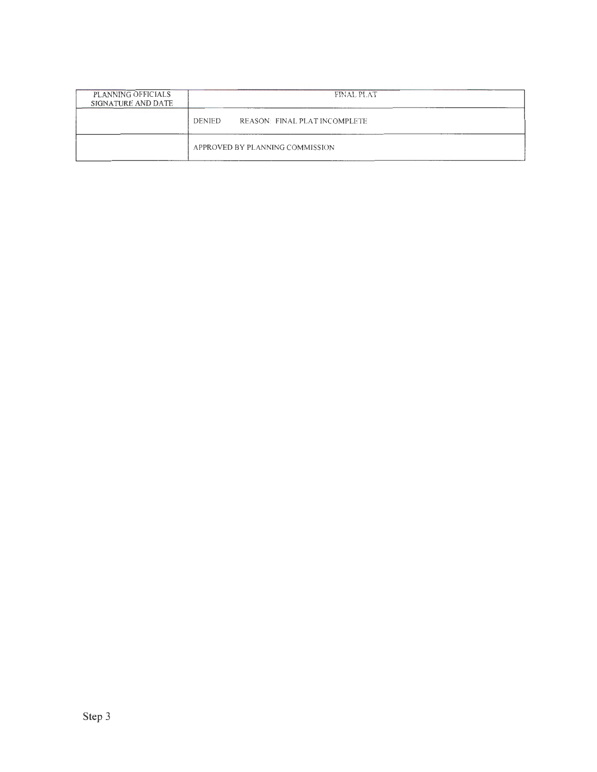| PLANNING OFFICIALS<br>SIGNATURE AND DATE | <b>FINAL PLAT</b>                              |  |
|------------------------------------------|------------------------------------------------|--|
|                                          | REASON: FINAL PLAT INCOMPLETE<br><b>DENIED</b> |  |
|                                          | APPROVED BY PLANNING COMMISSION                |  |